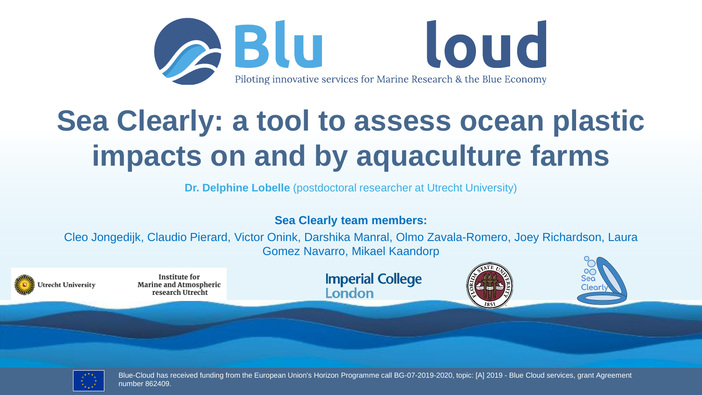

## **Sea Clearly: a tool to assess ocean plastic impacts on and by aquaculture farms**

**Dr. Delphine Lobelle** (postdoctoral researcher at Utrecht University)

### **Sea Clearly team members:**

Cleo Jongedijk, Claudio Pierard, Victor Onink, Darshika Manral, Olmo Zavala-Romero, Joey Richardson, Laura Gomez Navarro, Mikael Kaandorp





Blue-Cloud has received funding from the European Union's Horizon Programme call BG-07-2019-2020, topic: [A] 2019 - Blue Cloud services, grant Agreement number 862409.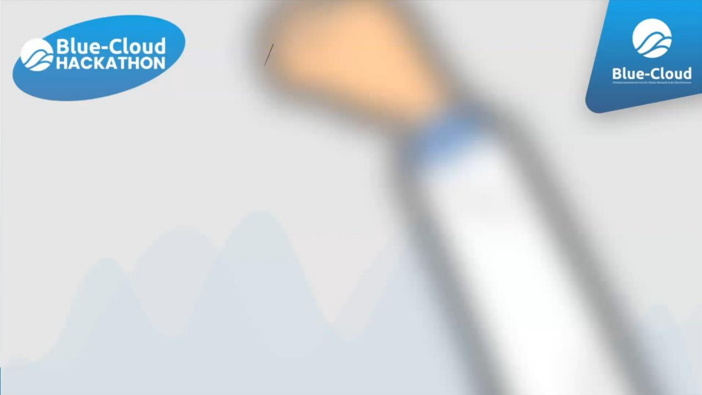# Blue-Cloud

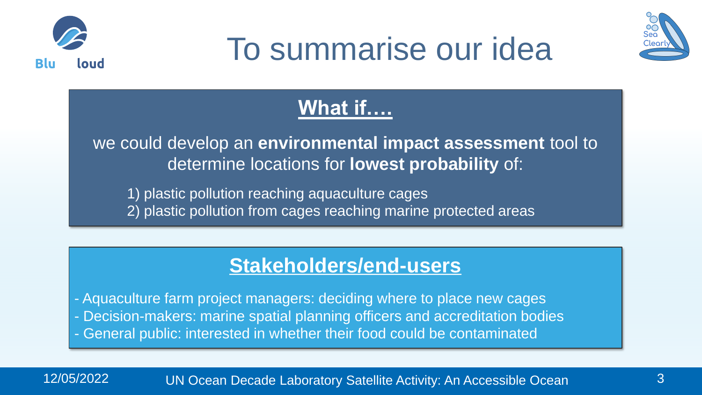





## **What if….**

we could develop an **environmental impact assessment** tool to determine locations for **lowest probability** of:

1) plastic pollution reaching aquaculture cages

2) plastic pollution from cages reaching marine protected areas

### **Stakeholders/end-users**

- Aquaculture farm project managers: deciding where to place new cages - Decision-makers: marine spatial planning officers and accreditation bodies - General public: interested in whether their food could be contaminated

12/05/2022 UN Ocean Decade Laboratory Satellite Activity: An Accessible Ocean 3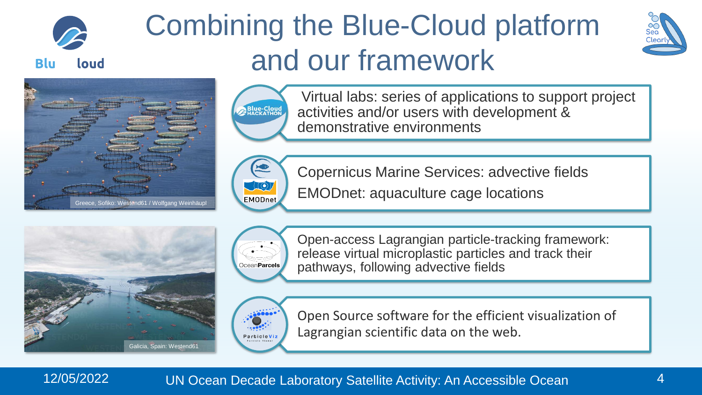

## Combining the Blue-Cloud platform and our framework







Virtual labs: series of applications to support project activities and/or users with development & demonstrative environments



Copernicus Marine Services: advective fields

EMODnet: aquaculture cage locations





Open-access Lagrangian particle-tracking framework: release virtual microplastic particles and track their pathways, following advective fields



Open Source software for the efficient visualization of Lagrangian scientific data on the web.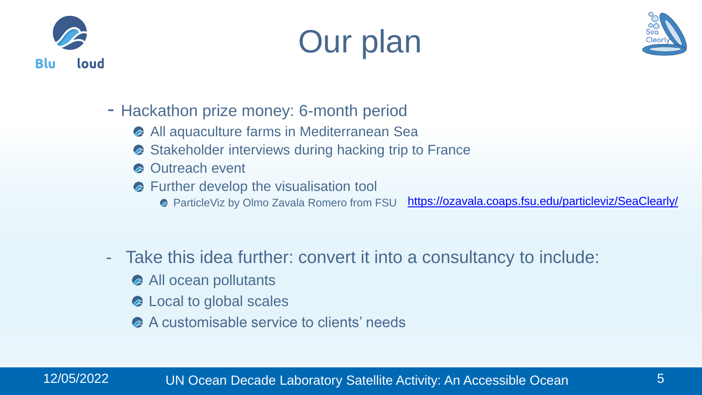





- Hackathon prize money: 6-month period
	- **All aquaculture farms in Mediterranean Sea**
	- Stakeholder interviews during hacking trip to France  $\mathbb{Z}$
	- **C** Outreach event
	- **B** Further develop the visualisation tool
		- **ParticleViz by Olmo Zavala Romero from FSU** <https://ozavala.coaps.fsu.edu/particleviz/SeaClearly/>
- Take this idea further: convert it into a consultancy to include:
	- All ocean pollutants
	- Local to global scales
	- **A** customisable service to clients' needs